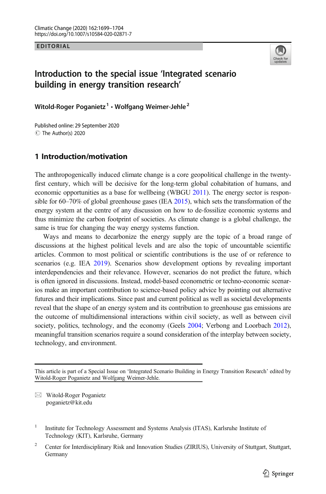EDITORIAL



## Introduction to the special issue 'Integrated scenario building in energy transition research'

Witold-Roger Poganietz<sup>1</sup> · Wolfgang Weimer-Jehle<sup>2</sup>

C The Author(s) 2020 Published online: 29 September 2020

## 1 Introduction/motivation

The anthropogenically induced climate change is a core geopolitical challenge in the twentyfirst century, which will be decisive for the long-term global cohabitation of humans, and economic opportunities as a base for wellbeing (WBGU [2011](#page-5-0)). The energy sector is responsible for 60–70% of global greenhouse gases (IEA [2015](#page-4-0)), which sets the transformation of the energy system at the centre of any discussion on how to de-fossilize economic systems and thus minimize the carbon footprint of societies. As climate change is a global challenge, the same is true for changing the way energy systems function.

Ways and means to decarbonize the energy supply are the topic of a broad range of discussions at the highest political levels and are also the topic of uncountable scientific articles. Common to most political or scientific contributions is the use of or reference to scenarios (e.g. IEA [2019](#page-4-0)). Scenarios show development options by revealing important interdependencies and their relevance. However, scenarios do not predict the future, which is often ignored in discussions. Instead, model-based econometric or techno-economic scenarios make an important contribution to science-based policy advice by pointing out alternative futures and their implications. Since past and current political as well as societal developments reveal that the shape of an energy system and its contribution to greenhouse gas emissions are the outcome of multidimensional interactions within civil society, as well as between civil society, politics, technology, and the economy (Geels [2004;](#page-4-0) Verbong and Loorbach [2012](#page-5-0)), meaningful transition scenarios require a sound consideration of the interplay between society, technology, and environment.

This article is part of a Special Issue on 'Integrated Scenario Building in Energy Transition Research' edited by Witold-Roger Poganietz and Wolfgang Weimer-Jehle.

 $\boxtimes$  Witold-Roger Poganietz [poganietz@kit.edu](mailto:poganietz@kit.edu)

<sup>&</sup>lt;sup>1</sup> Institute for Technology Assessment and Systems Analysis (ITAS), Karlsruhe Institute of Technology (KIT), Karlsruhe, Germany

<sup>&</sup>lt;sup>2</sup> Center for Interdisciplinary Risk and Innovation Studies (ZIRIUS), University of Stuttgart, Stuttgart, Germany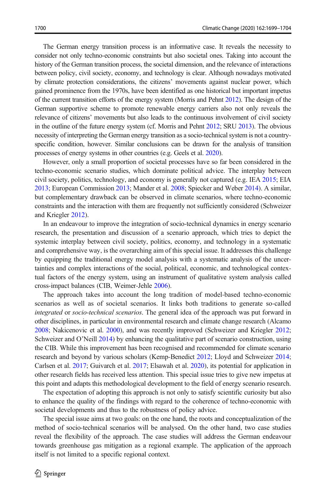The German energy transition process is an informative case. It reveals the necessity to consider not only techno-economic constraints but also societal ones. Taking into account the history of the German transition process, the societal dimension, and the relevance of interactions between policy, civil society, economy, and technology is clear. Although nowadays motivated by climate protection considerations, the citizens' movements against nuclear power, which gained prominence from the 1970s, have been identified as one historical but important impetus of the current transition efforts of the energy system (Morris and Pehnt [2012\)](#page-5-0). The design of the German supportive scheme to promote renewable energy carriers also not only reveals the relevance of citizens' movements but also leads to the continuous involvement of civil society in the outline of the future energy system (cf. Morris and Pehnt [2012](#page-5-0); SRU [2013\)](#page-5-0). The obvious necessity of interpreting the German energy transition as a socio-technical system is not a countryspecific condition, however. Similar conclusions can be drawn for the analysis of transition processes of energy systems in other countries (e.g. Geels et al. [2020](#page-4-0)).

However, only a small proportion of societal processes have so far been considered in the techno-economic scenario studies, which dominate political advice. The interplay between civil society, politics, technology, and economy is generally not captured (e.g. IEA [2015](#page-4-0); EIA [2013](#page-4-0); European Commission [2013;](#page-4-0) Mander et al. [2008;](#page-5-0) Spiecker and Weber [2014\)](#page-5-0). A similar, but complementary drawback can be observed in climate scenarios, where techno-economic constraints and the interaction with them are frequently not sufficiently considered (Schweizer and Kriegler [2012\)](#page-5-0).

In an endeavour to improve the integration of socio-technical dynamics in energy scenario research, the presentation and discussion of a scenario approach, which tries to depict the systemic interplay between civil society, politics, economy, and technology in a systematic and comprehensive way, is the overarching aim of this special issue. It addresses this challenge by equipping the traditional energy model analysis with a systematic analysis of the uncertainties and complex interactions of the social, political, economic, and technological contextual factors of the energy system, using an instrument of qualitative system analysis called cross-impact balances (CIB, Weimer-Jehle [2006](#page-5-0)).

The approach takes into account the long tradition of model-based techno-economic scenarios as well as of societal scenarios. It links both traditions to generate so-called integrated or socio-technical scenarios. The general idea of the approach was put forward in other disciplines, in particular in environmental research and climate change research (Alcamo [2008](#page-4-0); Nakicenovic et al. [2000\)](#page-5-0), and was recently improved (Schweizer and Kriegler [2012](#page-5-0); Schweizer and O'Neill [2014\)](#page-5-0) by enhancing the qualitative part of scenario construction, using the CIB. While this improvement has been recognised and recommended for climate scenario research and beyond by various scholars (Kemp-Benedict [2012;](#page-5-0) Lloyd and Schweizer [2014](#page-5-0); Carlsen et al. [2017](#page-4-0); Guivarch et al. [2017;](#page-4-0) Elsawah et al. [2020](#page-4-0)), its potential for application in other research fields has received less attention. This special issue tries to give new impetus at this point and adapts this methodological development to the field of energy scenario research.

The expectation of adopting this approach is not only to satisfy scientific curiosity but also to enhance the quality of the findings with regard to the coherence of techno-economic with societal developments and thus to the robustness of policy advice.

The special issue aims at two goals: on the one hand, the roots and conceptualization of the method of socio-technical scenarios will be analysed. On the other hand, two case studies reveal the flexibility of the approach. The case studies will address the German endeavour towards greenhouse gas mitigation as a regional example. The application of the approach itself is not limited to a specific regional context.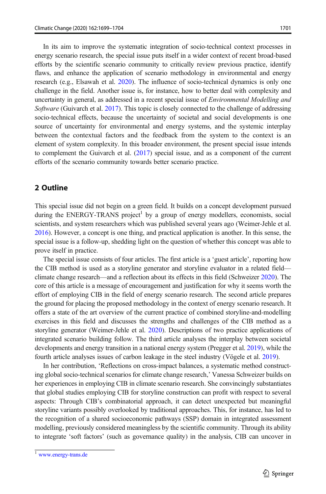In its aim to improve the systematic integration of socio-technical context processes in energy scenario research, the special issue puts itself in a wider context of recent broad-based efforts by the scientific scenario community to critically review previous practice, identify flaws, and enhance the application of scenario methodology in environmental and energy research (e.g., Elsawah et al. [2020\)](#page-4-0). The influence of socio-technical dynamics is only one challenge in the field. Another issue is, for instance, how to better deal with complexity and uncertainty in general, as addressed in a recent special issue of *Environmental Modelling and* Software (Guivarch et al. [2017\)](#page-4-0). This topic is closely connected to the challenge of addressing socio-technical effects, because the uncertainty of societal and social developments is one source of uncertainty for environmental and energy systems, and the systemic interplay between the contextual factors and the feedback from the system to the context is an element of system complexity. In this broader environment, the present special issue intends to complement the Guivarch et al. ([2017](#page-4-0)) special issue, and as a component of the current efforts of the scenario community towards better scenario practice.

## 2 Outline

This special issue did not begin on a green field. It builds on a concept development pursued during the ENERGY-TRANS project<sup>1</sup> by a group of energy modellers, economists, social scientists, and system researchers which was published several years ago (Weimer-Jehle et al. [2016](#page-5-0)). However, a concept is one thing, and practical application is another. In this sense, the special issue is a follow-up, shedding light on the question of whether this concept was able to prove itself in practice.

The special issue consists of four articles. The first article is a 'guest article', reporting how the CIB method is used as a storyline generator and storyline evaluator in a related field climate change research—and a reflection about its effects in this field (Schweizer [2020](#page-5-0)). The core of this article is a message of encouragement and justification for why it seems worth the effort of employing CIB in the field of energy scenario research. The second article prepares the ground for placing the proposed methodology in the context of energy scenario research. It offers a state of the art overview of the current practice of combined storyline-and-modelling exercises in this field and discusses the strengths and challenges of the CIB method as a storyline generator (Weimer-Jehle et al. [2020](#page-5-0)). Descriptions of two practice applications of integrated scenario building follow. The third article analyses the interplay between societal developments and energy transition in a national energy system (Pregger et al. [2019\)](#page-5-0), while the fourth article analyses issues of carbon leakage in the steel industry (Vögele et al. [2019](#page-5-0)).

In her contribution, 'Reflections on cross-impact balances, a systematic method constructing global socio-technical scenarios for climate change research,' Vanessa Schweizer builds on her experiences in employing CIB in climate scenario research. She convincingly substantiates that global studies employing CIB for storyline construction can profit with respect to several aspects: Through CIB's combinatorial approach, it can detect unexpected but meaningful storyline variants possibly overlooked by traditional approaches. This, for instance, has led to the recognition of a shared socioeconomic pathways (SSP) domain in integrated assessment modelling, previously considered meaningless by the scientific community. Through its ability to integrate 'soft factors' (such as governance quality) in the analysis, CIB can uncover in

 $\frac{1}{1}$  [www.energy-trans.de](http://www.energy-trans.de)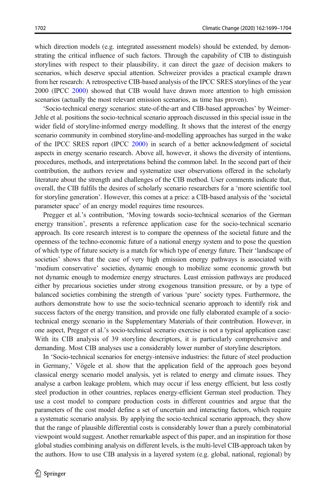which direction models (e.g. integrated assessment models) should be extended, by demonstrating the critical influence of such factors. Through the capability of CIB to distinguish storylines with respect to their plausibility, it can direct the gaze of decision makers to scenarios, which deserve special attention. Schweizer provides a practical example drawn from her research: A retrospective CIB-based analysis of the IPCC SRES storylines of the year 2000 (IPCC [2000\)](#page-5-0) showed that CIB would have drawn more attention to high emission scenarios (actually the most relevant emission scenarios, as time has proven).

'Socio-technical energy scenarios: state-of-the-art and CIB-based approaches' by Weimer-Jehle et al. positions the socio-technical scenario approach discussed in this special issue in the wider field of storyline-informed energy modelling. It shows that the interest of the energy scenario community in combined storyline-and-modelling approaches has surged in the wake of the IPCC SRES report (IPCC [2000](#page-5-0)) in search of a better acknowledgment of societal aspects in energy scenario research. Above all, however, it shows the diversity of intentions, procedures, methods, and interpretations behind the common label. In the second part of their contribution, the authors review and systematize user observations offered in the scholarly literature about the strength and challenges of the CIB method. User comments indicate that, overall, the CIB fulfils the desires of scholarly scenario researchers for a 'more scientific tool for storyline generation'. However, this comes at a price: a CIB-based analysis of the 'societal parameter space' of an energy model requires time resources.

Pregger et al.'s contribution, 'Moving towards socio-technical scenarios of the German energy transition', presents a reference application case for the socio-technical scenario approach. Its core research interest is to compare the openness of the societal future and the openness of the techno-economic future of a national energy system and to pose the question of which type of future society is a match for which type of energy future. Their 'landscape of societies' shows that the case of very high emission energy pathways is associated with 'medium conservative' societies, dynamic enough to mobilize some economic growth but not dynamic enough to modernize energy structures. Least emission pathways are produced either by precarious societies under strong exogenous transition pressure, or by a type of balanced societies combining the strength of various 'pure' society types. Furthermore, the authors demonstrate how to use the socio-technical scenario approach to identify risk and success factors of the energy transition, and provide one fully elaborated example of a sociotechnical energy scenario in the Supplementary Materials of their contribution. However, in one aspect, Pregger et al.'s socio-technical scenario exercise is not a typical application case: With its CIB analysis of 39 storyline descriptors, it is particularly comprehensive and demanding. Most CIB analyses use a considerably lower number of storyline descriptors.

In 'Socio-technical scenarios for energy-intensive industries: the future of steel production in Germany,' Vögele et al. show that the application field of the approach goes beyond classical energy scenario model analysis, yet is related to energy and climate issues. They analyse a carbon leakage problem, which may occur if less energy efficient, but less costly steel production in other countries, replaces energy-efficient German steel production. They use a cost model to compare production costs in different countries and argue that the parameters of the cost model define a set of uncertain and interacting factors, which require a systematic scenario analysis. By applying the socio-technical scenario approach, they show that the range of plausible differential costs is considerably lower than a purely combinatorial viewpoint would suggest. Another remarkable aspect of this paper, and an inspiration for those global studies combining analysis on different levels, is the multi-level CIB-approach taken by the authors. How to use CIB analysis in a layered system (e.g. global, national, regional) by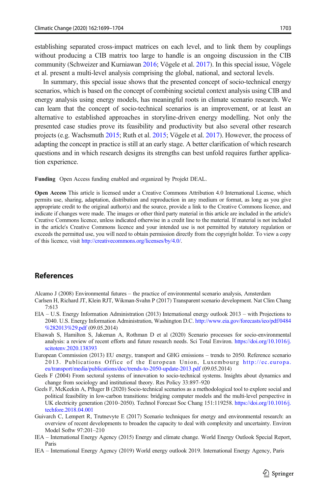<span id="page-4-0"></span>establishing separated cross-impact matrices on each level, and to link them by couplings without producing a CIB matrix too large to handle is an ongoing discussion in the CIB community (Schweizer and Kurniawan [2016](#page-5-0); Vögele et al. [2017](#page-5-0)). In this special issue, Vögele et al. present a multi-level analysis comprising the global, national, and sectoral levels.

In summary, this special issue shows that the presented concept of socio-technical energy scenarios, which is based on the concept of combining societal context analysis using CIB and energy analysis using energy models, has meaningful roots in climate scenario research. We can learn that the concept of socio-technical scenarios is an improvement, or at least an alternative to established approaches in storyline-driven energy modelling. Not only the presented case studies prove its feasibility and productivity but also several other research projects (e.g. Wachsmuth [2015;](#page-5-0) Ruth et al. [2015](#page-5-0); Vögele et al. [2017](#page-5-0)). However, the process of adapting the concept in practice is still at an early stage. A better clarification of which research questions and in which research designs its strengths can best unfold requires further application experience.

Funding Open Access funding enabled and organized by Projekt DEAL.

Open Access This article is licensed under a Creative Commons Attribution 4.0 International License, which permits use, sharing, adaptation, distribution and reproduction in any medium or format, as long as you give appropriate credit to the original author(s) and the source, provide a link to the Creative Commons licence, and indicate if changes were made. The images or other third party material in this article are included in the article's Creative Commons licence, unless indicated otherwise in a credit line to the material. If material is not included in the article's Creative Commons licence and your intended use is not permitted by statutory regulation or exceeds the permitted use, you will need to obtain permission directly from the copyright holder. To view a copy of this licence, visit [http://creativecommons.org/licenses/by/4.0/.](https://doi.org/)

## References

Alcamo J (2008) Environmental futures – the practice of environmental scenario analysis, Amsterdam

- Carlsen H, Richard JT, Klein RJT, Wikman-Svahn P (2017) Transparent scenario development. Nat Clim Chang 7:613
- EIA U.S. Energy Information Administration (2013) International energy outlook 2013 with Projections to 2040. U.S. Energy Information Administration, Washington D.C. [http://www.eia.gov/forecasts/ieo/pdf/0484](http://www.eia.gov/forecasts/ieo/pdf/0484%282013%29.pdf) [%282013%29.pdf](http://www.eia.gov/forecasts/ieo/pdf/0484%282013%29.pdf) (09.05.2014)
- Elsawah S, Hamilton S, Jakeman A, Rothman D et al (2020) Scenario processes for socio-environmental analysis: a review of recent efforts and future research needs. Sci Total Environ. [https://doi.org/10.1016/j.](https://doi.org/10.1016/j.scitotenv.2020.138393) [scitotenv.2020.138393](https://doi.org/10.1016/j.scitotenv.2020.138393)
- European Commission (2013) EU energy, transport and GHG emissions trends to 2050. Reference scenario 2013. Publications Office of the European Union, Luxembourg [http://ec.europa.](http://ec.europa.eu/transport/media/publications/doc/trends-to-2050-update-2013.pdf%3e) [eu/transport/media/publications/doc/trends-to-2050-update-2013.pdf](http://ec.europa.eu/transport/media/publications/doc/trends-to-2050-update-2013.pdf%3e) (09.05.2014)
- Geels F (2004) From sectoral systems of innovation to socio-technical systems. Insights about dynamics and change from sociology and institutional theory. Res Policy 33:897–920
- Geels F, McKeekin A, Pfluger B (2020) Socio-technical scenarios as a methodological tool to explore social and political feasibility in low-carbon transitions: bridging computer models and the multi-level perspective in UK electricity generation (2010–2050). Technol Forecast Soc Chang 151:119258. [https://doi.org/10.1016/j.](https://doi.org/10.1016/j.techfore.2018.04.001) [techfore.2018.04.001](https://doi.org/10.1016/j.techfore.2018.04.001)
- Guivarch C, Lempert R, Trutnevyte E (2017) Scenario techniques for energy and environmental research: an overview of recent developments to broaden the capacity to deal with complexity and uncertainty. Environ Model Softw 97:201–210
- IEA International Energy Agency (2015) Energy and climate change. World Energy Outlook Special Report, Paris
- IEA International Energy Agency (2019) World energy outlook 2019. International Energy Agency, Paris